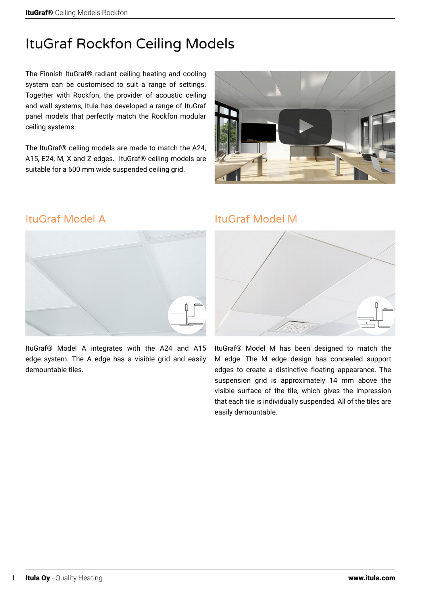# ItuGraf Rockfon Ceiling Models

The Finnish ItuGraf® radiant ceiling heating and cooling system can be customised to suit a range of settings. Together with Rockfon, the provider of acoustic ceiling and wall systems, Itula has developed a range of ItuGraf panel models that perfectly match the Rockfon modular ceiling systems.

The ItuGraf® ceiling models are made to match the A24, A15, E24, M, X and Z edges. ItuGraf® ceiling models are suitable for a 600 mm wide suspended ceiling grid.



# ItuGraf Model A



ItuGraf® Model A integrates with the A24 and A15 edge system. The A edge has a visible grid and easily demountable tiles.

## ItuGraf Model M



ItuGraf® Model M has been designed to match the M edge. The M edge design has concealed support edges to create a distinctive floating appearance. The suspension grid is approximately 14 mm above the visible surface of the tile, which gives the impression that each tile is individually suspended. All of the tiles are easily demountable.